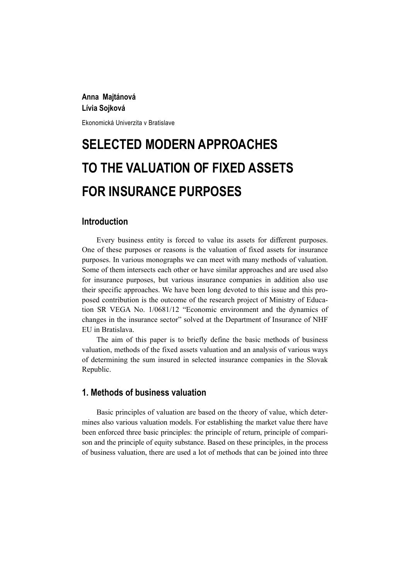## **Anna Majtánová Lívia Sojková**

Ekonomická Univerzita v Bratislave

# **SELECTED MODERN APPROACHES TO THE VALUATION OF FIXED ASSETS FOR INSURANCE PURPOSES**

## **Introduction**

Every business entity is forced to value its assets for different purposes. One of these purposes or reasons is the valuation of fixed assets for insurance purposes. In various monographs we can meet with many methods of valuation. Some of them intersects each other or have similar approaches and are used also for insurance purposes, but various insurance companies in addition also use their specific approaches. We have been long devoted to this issue and this proposed contribution is the outcome of the research project of Ministry of Education SR VEGA No. 1/0681/12 "Economic environment and the dynamics of changes in the insurance sector" solved at the Department of Insurance of NHF EU in Bratislava.

The aim of this paper is to briefly define the basic methods of business valuation, methods of the fixed assets valuation and an analysis of various ways of determining the sum insured in selected insurance companies in the Slovak Republic.

## **1. Methods of business valuation**

Basic principles of valuation are based on the theory of value, which determines also various valuation models. For establishing the market value there have been enforced three basic principles: the principle of return, principle of comparison and the principle of equity substance. Based on these principles, in the process of business valuation, there are used a lot of methods that can be joined into three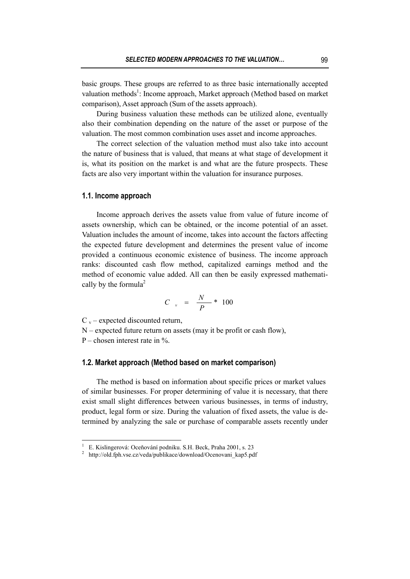basic groups. These groups are referred to as three basic internationally accepted valuation methods<sup>1</sup>: Income approach, Market approach (Method based on market comparison), Asset approach (Sum of the assets approach).

During business valuation these methods can be utilized alone, eventually also their combination depending on the nature of the asset or purpose of the valuation. The most common combination uses asset and income approaches.

The correct selection of the valuation method must also take into account the nature of business that is valued, that means at what stage of development it is, what its position on the market is and what are the future prospects. These facts are also very important within the valuation for insurance purposes.

#### **1.1. Income approach**

Income approach derives the assets value from value of future income of assets ownership, which can be obtained, or the income potential of an asset. Valuation includes the amount of income, takes into account the factors affecting the expected future development and determines the present value of income provided a continuous economic existence of business. The income approach ranks: discounted cash flow method, capitalized earnings method and the method of economic value added. All can then be easily expressed mathematically by the formula<sup>2</sup>

$$
C_{v} = \frac{N}{P} \cdot 100
$$

 $C_y$  – expected discounted return.

N – expected future return on assets (may it be profit or cash flow),

P – chosen interest rate in  $\%$ .

 $\overline{a}$ 

#### **1.2. Market approach (Method based on market comparison)**

The method is based on information about specific prices or market values of similar businesses. For proper determining of value it is necessary, that there exist small slight differences between various businesses, in terms of industry, product, legal form or size. During the valuation of fixed assets, the value is determined by analyzing the sale or purchase of comparable assets recently under

<sup>&</sup>lt;sup>1</sup> E. Kislingerová: Oceňování podniku. S.H. Beck, Praha 2001, s. 23<br><sup>2</sup> kttp://old.fph.uso.org/vodn/publikaeo/doumloed/Ocenovani, kop5.pd

http://old.fph.vse.cz/veda/publikace/download/Ocenovani\_kap5.pdf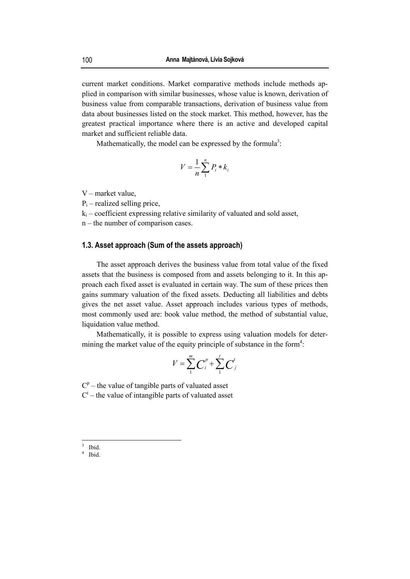current market conditions. Market comparative methods include methods applied in comparison with similar businesses, whose value is known, derivation of business value from comparable transactions, derivation of business value from data about businesses listed on the stock market. This method, however, has the greatest practical importance where there is an active and developed capital market and sufficient reliable data.

Mathematically, the model can be expressed by the formula<sup>3</sup>:

$$
V = \frac{1}{n} \sum_{1}^{n} P_i * k_i
$$

- V market value,
- $P_i$  realized selling price,
- $k_i$  coefficient expressing relative similarity of valuated and sold asset,
- n the number of comparison cases.

#### **1.3. Asset approach (Sum of the assets approach)**

The asset approach derives the business value from total value of the fixed assets that the business is composed from and assets belonging to it. In this approach each fixed asset is evaluated in certain way. The sum of these prices then gains summary valuation of the fixed assets. Deducting all liabilities and debts gives the net asset value. Asset approach includes various types of methods, most commonly used are: book value method, the method of substantial value, liquidation value method.

Mathematically, it is possible to express using valuation models for determining the market value of the equity principle of substance in the form<sup>4</sup>:

$$
V = \sum_{1}^{m} C_i^{p} + \sum_{1}^{t} C_j^{t}
$$

 $C<sup>p</sup>$  – the value of tangible parts of valuated asset  $C<sup>t</sup>$  – the value of intangible parts of valuated asset

 $\frac{3}{3}$  Ibid.

<sup>4</sup> Ibid.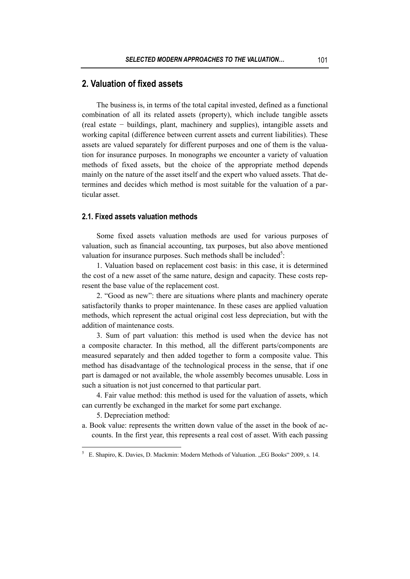# **2. Valuation of fixed assets**

The business is, in terms of the total capital invested, defined as a functional combination of all its related assets (property), which include tangible assets (real estate − buildings, plant, machinery and supplies), intangible assets and working capital (difference between current assets and current liabilities). These assets are valued separately for different purposes and one of them is the valuation for insurance purposes. In monographs we encounter a variety of valuation methods of fixed assets, but the choice of the appropriate method depends mainly on the nature of the asset itself and the expert who valued assets. That determines and decides which method is most suitable for the valuation of a particular asset.

## **2.1. Fixed assets valuation methods**

Some fixed assets valuation methods are used for various purposes of valuation, such as financial accounting, tax purposes, but also above mentioned valuation for insurance purposes. Such methods shall be included<sup>5</sup>:

1. Valuation based on replacement cost basis: in this case, it is determined the cost of a new asset of the same nature, design and capacity. These costs represent the base value of the replacement cost.

2. "Good as new": there are situations where plants and machinery operate satisfactorily thanks to proper maintenance. In these cases are applied valuation methods, which represent the actual original cost less depreciation, but with the addition of maintenance costs.

3. Sum of part valuation: this method is used when the device has not a composite character. In this method, all the different parts/components are measured separately and then added together to form a composite value. This method has disadvantage of the technological process in the sense, that if one part is damaged or not available, the whole assembly becomes unusable. Loss in such a situation is not just concerned to that particular part.

4. Fair value method: this method is used for the valuation of assets, which can currently be exchanged in the market for some part exchange.

5. Depreciation method:

 $\overline{a}$ 

a. Book value: represents the written down value of the asset in the book of accounts. In the first year, this represents a real cost of asset. With each passing

<sup>&</sup>lt;sup>5</sup> E. Shapiro, K. Davies, D. Mackmin: Modern Methods of Valuation. "EG Books" 2009, s. 14.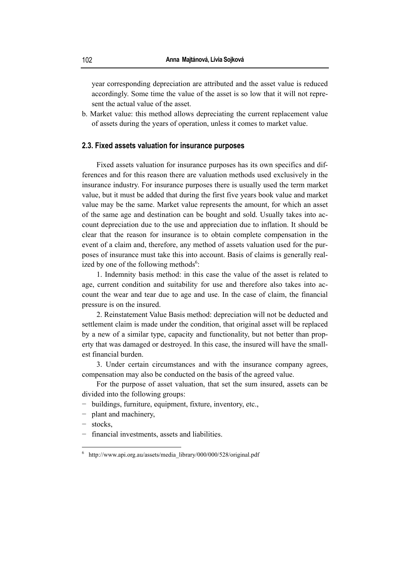year corresponding depreciation are attributed and the asset value is reduced accordingly. Some time the value of the asset is so low that it will not represent the actual value of the asset.

b. Market value: this method allows depreciating the current replacement value of assets during the years of operation, unless it comes to market value.

#### **2.3. Fixed assets valuation for insurance purposes**

Fixed assets valuation for insurance purposes has its own specifics and differences and for this reason there are valuation methods used exclusively in the insurance industry. For insurance purposes there is usually used the term market value, but it must be added that during the first five years book value and market value may be the same. Market value represents the amount, for which an asset of the same age and destination can be bought and sold. Usually takes into account depreciation due to the use and appreciation due to inflation. It should be clear that the reason for insurance is to obtain complete compensation in the event of a claim and, therefore, any method of assets valuation used for the purposes of insurance must take this into account. Basis of claims is generally realized by one of the following methods<sup>6</sup>:

1. Indemnity basis method: in this case the value of the asset is related to age, current condition and suitability for use and therefore also takes into account the wear and tear due to age and use. In the case of claim, the financial pressure is on the insured.

2. Reinstatement Value Basis method: depreciation will not be deducted and settlement claim is made under the condition, that original asset will be replaced by a new of a similar type, capacity and functionality, but not better than property that was damaged or destroyed. In this case, the insured will have the smallest financial burden.

3. Under certain circumstances and with the insurance company agrees, compensation may also be conducted on the basis of the agreed value.

For the purpose of asset valuation, that set the sum insured, assets can be divided into the following groups:

- − buildings, furniture, equipment, fixture, inventory, etc.,
- − plant and machinery,
- − stocks,

 $\overline{a}$ 

financial investments, assets and liabilities.

<sup>&</sup>lt;sup>6</sup> http://www.api.org.au/assets/media library/000/000/528/original.pdf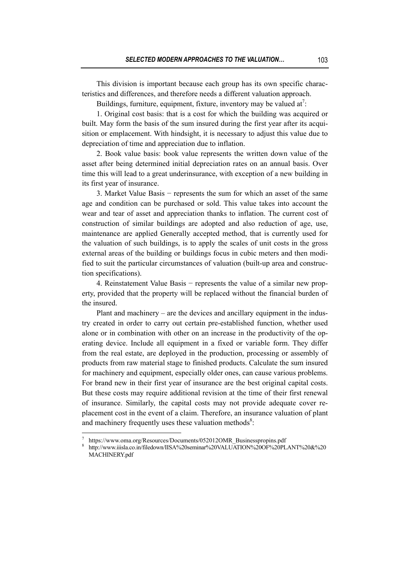This division is important because each group has its own specific characteristics and differences, and therefore needs a different valuation approach.

Buildings, furniture, equipment, fixture, inventory may be valued at<sup>7</sup>:

1. Original cost basis: that is a cost for which the building was acquired or built. May form the basis of the sum insured during the first year after its acquisition or emplacement. With hindsight, it is necessary to adjust this value due to depreciation of time and appreciation due to inflation.

2. Book value basis: book value represents the written down value of the asset after being determined initial depreciation rates on an annual basis. Over time this will lead to a great underinsurance, with exception of a new building in its first year of insurance.

3. Market Value Basis − represents the sum for which an asset of the same age and condition can be purchased or sold. This value takes into account the wear and tear of asset and appreciation thanks to inflation. The current cost of construction of similar buildings are adopted and also reduction of age, use, maintenance are applied Generally accepted method, that is currently used for the valuation of such buildings, is to apply the scales of unit costs in the gross external areas of the building or buildings focus in cubic meters and then modified to suit the particular circumstances of valuation (built-up area and construction specifications).

4. Reinstatement Value Basis − represents the value of a similar new property, provided that the property will be replaced without the financial burden of the insured.

Plant and machinery – are the devices and ancillary equipment in the industry created in order to carry out certain pre-established function, whether used alone or in combination with other on an increase in the productivity of the operating device. Include all equipment in a fixed or variable form. They differ from the real estate, are deployed in the production, processing or assembly of products from raw material stage to finished products. Calculate the sum insured for machinery and equipment, especially older ones, can cause various problems. For brand new in their first year of insurance are the best original capital costs. But these costs may require additional revision at the time of their first renewal of insurance. Similarly, the capital costs may not provide adequate cover replacement cost in the event of a claim. Therefore, an insurance valuation of plant and machinery frequently uses these valuation methods $s^8$ .

 $\overline{a}$ 

<sup>7</sup> https://www.oma.org/Resources/Documents/052012OMR\_Businesspropins.pdf

<sup>8</sup> http://www.iiisla.co.in/filedown/IISA%20seminar%20VALUATION%20OF%20PLANT%20&%20 MACHINERY.pdf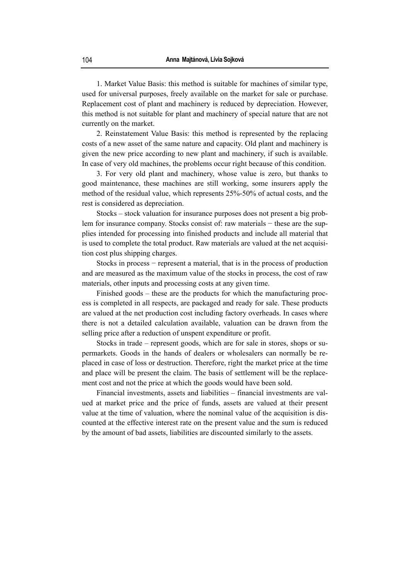1. Market Value Basis: this method is suitable for machines of similar type, used for universal purposes, freely available on the market for sale or purchase. Replacement cost of plant and machinery is reduced by depreciation. However, this method is not suitable for plant and machinery of special nature that are not currently on the market.

2. Reinstatement Value Basis: this method is represented by the replacing costs of a new asset of the same nature and capacity. Old plant and machinery is given the new price according to new plant and machinery, if such is available. In case of very old machines, the problems occur right because of this condition.

3. For very old plant and machinery, whose value is zero, but thanks to good maintenance, these machines are still working, some insurers apply the method of the residual value, which represents 25%-50% of actual costs, and the rest is considered as depreciation.

Stocks – stock valuation for insurance purposes does not present a big problem for insurance company. Stocks consist of: raw materials − these are the supplies intended for processing into finished products and include all material that is used to complete the total product. Raw materials are valued at the net acquisition cost plus shipping charges.

Stocks in process − represent a material, that is in the process of production and are measured as the maximum value of the stocks in process, the cost of raw materials, other inputs and processing costs at any given time.

Finished goods – these are the products for which the manufacturing process is completed in all respects, are packaged and ready for sale. These products are valued at the net production cost including factory overheads. In cases where there is not a detailed calculation available, valuation can be drawn from the selling price after a reduction of unspent expenditure or profit.

Stocks in trade – represent goods, which are for sale in stores, shops or supermarkets. Goods in the hands of dealers or wholesalers can normally be replaced in case of loss or destruction. Therefore, right the market price at the time and place will be present the claim. The basis of settlement will be the replacement cost and not the price at which the goods would have been sold.

Financial investments, assets and liabilities – financial investments are valued at market price and the price of funds, assets are valued at their present value at the time of valuation, where the nominal value of the acquisition is discounted at the effective interest rate on the present value and the sum is reduced by the amount of bad assets, liabilities are discounted similarly to the assets.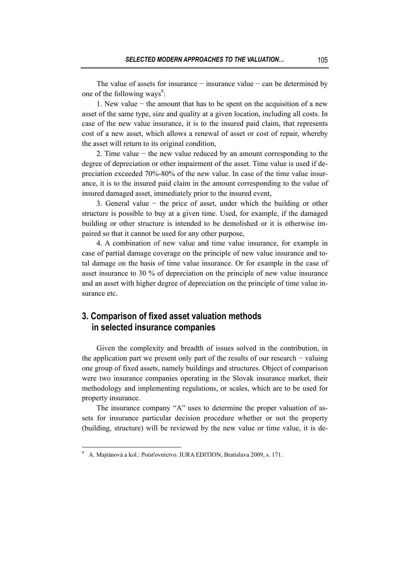The value of assets for insurance − insurance value − can be determined by one of the following ways<sup>9</sup>:

1. New value − the amount that has to be spent on the acquisition of a new asset of the same type, size and quality at a given location, including all costs. In case of the new value insurance, it is to the insured paid claim, that represents cost of a new asset, which allows a renewal of asset or cost of repair, whereby the asset will return to its original condition,

2. Time value − the new value reduced by an amount corresponding to the degree of depreciation or other impairment of the asset. Time value is used if depreciation exceeded 70%-80% of the new value. In case of the time value insurance, it is to the insured paid claim in the amount corresponding to the value of insured damaged asset, immediately prior to the insured event,

3. General value − the price of asset, under which the building or other structure is possible to buy at a given time. Used, for example, if the damaged building or other structure is intended to be demolished or it is otherwise impaired so that it cannot be used for any other purpose,

4. A combination of new value and time value insurance, for example in case of partial damage coverage on the principle of new value insurance and total damage on the basis of time value insurance. Or for example in the case of asset insurance to 30 % of depreciation on the principle of new value insurance and an asset with higher degree of depreciation on the principle of time value insurance etc.

# **3. Comparison of fixed asset valuation methods in selected insurance companies**

Given the complexity and breadth of issues solved in the contribution, in the application part we present only part of the results of our research − valuing one group of fixed assets, namely buildings and structures. Object of comparison were two insurance companies operating in the Slovak insurance market, their methodology and implementing regulations, or scales, which are to be used for property insurance.

The insurance company "A" uses to determine the proper valuation of assets for insurance particular decision procedure whether or not the property (building, structure) will be reviewed by the new value or time value, it is de-

 $\overline{a}$ 

<sup>&</sup>lt;sup>9</sup> A. Majtánová a kol.: Poisťovníctvo. IURA EDITION, Bratislava 2009, s. 171.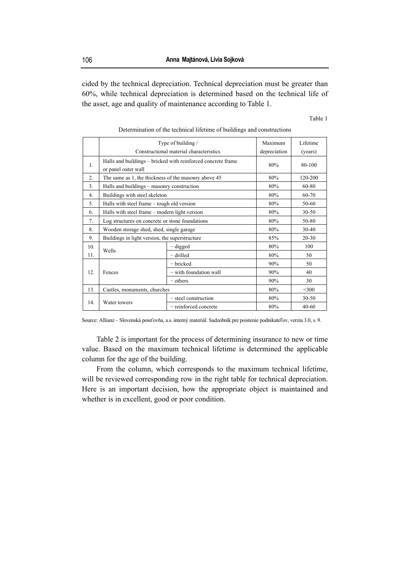cided by the technical depreciation. Technical depreciation must be greater than 60%, while technical depreciation is determined based on the technical life of the asset, age and quality of maintenance according to Table 1.

#### Table 1

|     | Type of building /                                           | Maximum<br>depreciation                 | Lifetime<br>(years) |           |  |  |
|-----|--------------------------------------------------------------|-----------------------------------------|---------------------|-----------|--|--|
|     |                                                              | Constructional material characteristics |                     |           |  |  |
| 1.  | Halls and buildings – bricked with reinforced concrete frame | 80%                                     | 80-100              |           |  |  |
|     | or panel outer wall                                          |                                         |                     |           |  |  |
| 2.  | The same as 1, the thickness of the masonry above 45         | 80%                                     | 120-200             |           |  |  |
| 3.  | Halls and buildings - masonry construction                   | 80%                                     | 60-80               |           |  |  |
| 4.  | Buildings with steel skeleton                                | 80%                                     | 60-70               |           |  |  |
| 5.  | Halls with steel frame – tough old version                   | 80%                                     | 50-60               |           |  |  |
| 6.  | Halls with steel frame – modern light version                | 80%                                     | $30 - 50$           |           |  |  |
| 7.  | Log structures on concrete or stone foundations              | 80%                                     | 50-80               |           |  |  |
| 8.  | Wooden storage shed, shed, single garage                     | 80%                                     | $30 - 40$           |           |  |  |
| 9.  | Buildings in light version, the superstructure               | 85%                                     | $20 - 30$           |           |  |  |
| 10. |                                                              | $-$ digged                              | 80%                 | 100       |  |  |
| 11. | Wells                                                        | - drilled                               | 80%                 | 50        |  |  |
| 12. | Fences                                                       | – bricked                               | 90%                 | 50        |  |  |
|     |                                                              | - with foundation wall                  | 90%                 | 40        |  |  |
|     |                                                              | $-$ others                              | 90%                 | 30        |  |  |
| 13. | Castles, monuments, churches                                 | 80%                                     | $<$ 300             |           |  |  |
| 14. |                                                              | - steel construction                    | 80%                 | $30 - 50$ |  |  |
|     | Water towers                                                 | - reinforced concrete                   | 80%                 | $40 - 60$ |  |  |

Determination of the technical lifetime of buildings and constructions

Source: Allianz – Slovenská poisťovňa, a.s. interný materiál. Sadzobník pre poistenie podnikateľov, verzia 3.0, s. 9.

Table 2 is important for the process of determining insurance to new or time value. Based on the maximum technical lifetime is determined the applicable column for the age of the building.

From the column, which corresponds to the maximum technical lifetime, will be reviewed corresponding row in the right table for technical depreciation. Here is an important decision, how the appropriate object is maintained and whether is in excellent, good or poor condition.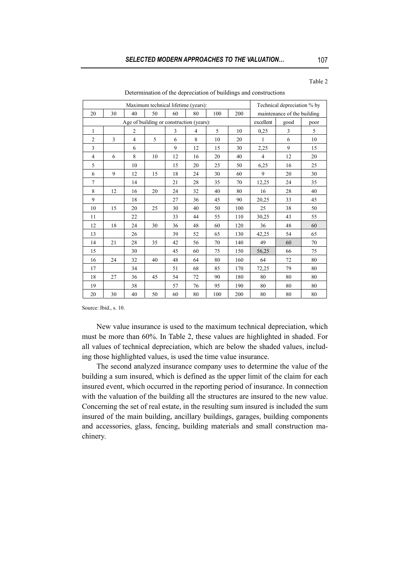| Determination of the depreciation of buildings and constructions |    |    |    |    |    |     |           |                             |      |    |  |
|------------------------------------------------------------------|----|----|----|----|----|-----|-----------|-----------------------------|------|----|--|
| Maximum technical lifetime (years):                              |    |    |    |    |    |     |           | Technical depreciation % by |      |    |  |
| 20                                                               | 30 | 40 | 50 | 60 | 80 | 100 | 200       | maintenance of the building |      |    |  |
| Age of building or construction (years):                         |    |    |    |    |    |     | excellent | good                        | poor |    |  |
| -1                                                               |    | 2  |    | 3  | 4  | 5   | 10        | 0.25                        | 3    | 5  |  |
| 2                                                                | 3  | 4  | 5  | 6  | 8  | 10  | 20        |                             | 6    | 10 |  |
| 3                                                                |    | 6  |    | 9  | 12 | 15  | 30        | 2,25                        | 9    | 15 |  |
| $\overline{4}$                                                   | 6  | 8  | 10 | 12 | 16 | 20  | 40        | 4                           | 12   | 20 |  |
| 5                                                                |    | 10 |    | 15 | 20 | 25  | 50        | 6,25                        | 16   | 25 |  |
| 6                                                                | 9  | 12 | 15 | 18 | 24 | 30  | 60        | 9                           | 20   | 30 |  |
| $\tau$                                                           |    | 14 |    | 21 | 28 | 35  | 70        | 12,25                       | 24   | 35 |  |
| 8                                                                | 12 | 16 | 20 | 24 | 32 | 40  | 80        | 16                          | 28   | 40 |  |
| 9                                                                |    | 18 |    | 27 | 36 | 45  | 90        | 20,25                       | 33   | 45 |  |
| 10                                                               | 15 | 20 | 25 | 30 | 40 | 50  | 100       | 25                          | 38   | 50 |  |

11 | | 22 | | 33 | 44 | 55 | 110 | 30,25 | 43 | 55 12 18 24 30 36 48 60 120 36 48 60 13 | 26 | 39 | 52 | 65 | 130 | 42,25 | 54 | 65 14 21 28 35 42 56 70 140 49 60 70 15 | 30 | 45 | 60 | 75 | 150 | 56,25 | 66 | 75 16 | 24 | 32 | 40 | 48 | 64 | 80 | 160 | 64 | 72 | 80 17 | 34 | 51 | 68 | 85 | 170 | 72,25 | 79 | 80 18 27 36 45 54 72 90 180 80 80 80 19 | 38 | 57 | 76 | 95 | 190 | 80 | 80 | 80 20 | 30 | 40 | 50 | 60 | 80 | 100 | 200 | 80 | 80 | 80

Determination of the depreciation of buildings and constructions

Source: Ibid., s. 10.

New value insurance is used to the maximum technical depreciation, which must be more than 60%. In Table 2, these values are highlighted in shaded. For all values of technical depreciation, which are below the shaded values, including those highlighted values, is used the time value insurance.

The second analyzed insurance company uses to determine the value of the building a sum insured, which is defined as the upper limit of the claim for each insured event, which occurred in the reporting period of insurance. In connection with the valuation of the building all the structures are insured to the new value. Concerning the set of real estate, in the resulting sum insured is included the sum insured of the main building, ancillary buildings, garages, building components and accessories, glass, fencing, building materials and small construction machinery.

Table 2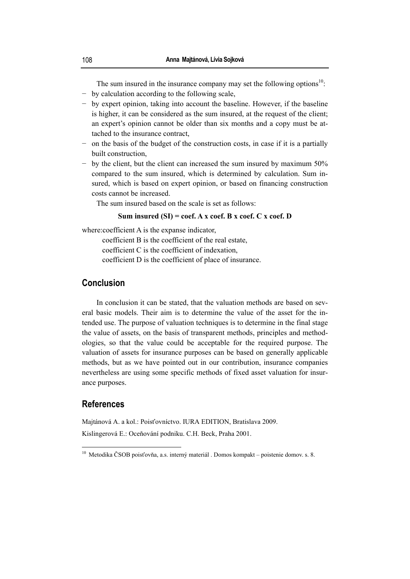The sum insured in the insurance company may set the following options<sup>10</sup>: − by calculation according to the following scale,

- − by expert opinion, taking into account the baseline. However, if the baseline is higher, it can be considered as the sum insured, at the request of the client; an expert's opinion cannot be older than six months and a copy must be attached to the insurance contract,
- − on the basis of the budget of the construction costs, in case if it is a partially built construction,
- − by the client, but the client can increased the sum insured by maximum 50% compared to the sum insured, which is determined by calculation. Sum insured, which is based on expert opinion, or based on financing construction costs cannot be increased.

The sum insured based on the scale is set as follows:

#### **Sum insured (SI) = coef. A x coef. B x coef. C x coef. D**

where:coefficient A is the expanse indicator,

coefficient B is the coefficient of the real estate,

coefficient C is the coefficient of indexation,

coefficient D is the coefficient of place of insurance.

# **Conclusion**

In conclusion it can be stated, that the valuation methods are based on several basic models. Their aim is to determine the value of the asset for the intended use. The purpose of valuation techniques is to determine in the final stage the value of assets, on the basis of transparent methods, principles and methodologies, so that the value could be acceptable for the required purpose. The valuation of assets for insurance purposes can be based on generally applicable methods, but as we have pointed out in our contribution, insurance companies nevertheless are using some specific methods of fixed asset valuation for insurance purposes.

## **References**

 $\overline{a}$ 

Majtánová A. a kol.: Poisťovníctvo. IURA EDITION, Bratislava 2009.

Kislingerová E.: Oceňování podniku. C.H. Beck, Praha 2001.

<sup>&</sup>lt;sup>10</sup> Metodika ČSOB poisťovňa, a.s. interný materiál . Domos kompakt – poistenie domov. s. 8.